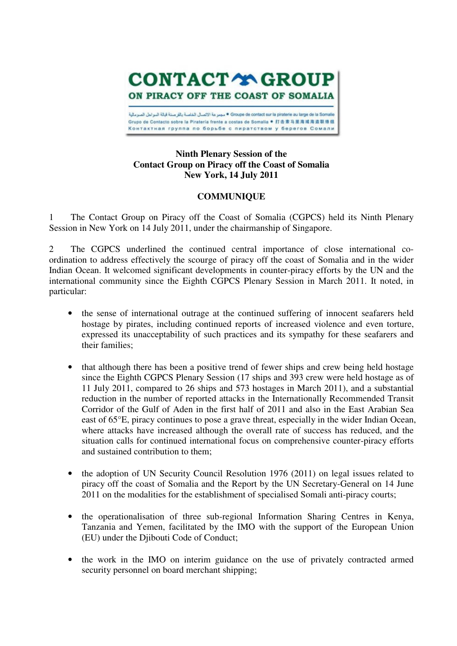**CONTACT TO GROUP** ON PIRACY OFF THE COAST OF SOMALIA Groupe de contact sur la piraterie au large de la Som • مجمر عة الإتصال الخاصة بالقر صنة آبالة السراحل الصرمالية Grupo de Contacto sobre la Pirateria frente a costas de Somalia ● 打击索马里海域海盗联络组 Контактная группа по борьбе с пиратством у берегов Сомали

## **Ninth Plenary Session of the Contact Group on Piracy off the Coast of Somalia New York, 14 July 2011**

## **COMMUNIQUE**

1 The Contact Group on Piracy off the Coast of Somalia (CGPCS) held its Ninth Plenary Session in New York on 14 July 2011, under the chairmanship of Singapore.

2 The CGPCS underlined the continued central importance of close international coordination to address effectively the scourge of piracy off the coast of Somalia and in the wider Indian Ocean. It welcomed significant developments in counter-piracy efforts by the UN and the international community since the Eighth CGPCS Plenary Session in March 2011. It noted, in particular:

- the sense of international outrage at the continued suffering of innocent seafarers held hostage by pirates, including continued reports of increased violence and even torture, expressed its unacceptability of such practices and its sympathy for these seafarers and their families;
- that although there has been a positive trend of fewer ships and crew being held hostage since the Eighth CGPCS Plenary Session (17 ships and 393 crew were held hostage as of 11 July 2011, compared to 26 ships and 573 hostages in March 2011), and a substantial reduction in the number of reported attacks in the Internationally Recommended Transit Corridor of the Gulf of Aden in the first half of 2011 and also in the East Arabian Sea east of 65°E, piracy continues to pose a grave threat, especially in the wider Indian Ocean, where attacks have increased although the overall rate of success has reduced, and the situation calls for continued international focus on comprehensive counter-piracy efforts and sustained contribution to them;
- the adoption of UN Security Council Resolution 1976 (2011) on legal issues related to piracy off the coast of Somalia and the Report by the UN Secretary-General on 14 June 2011 on the modalities for the establishment of specialised Somali anti-piracy courts;
- the operationalisation of three sub-regional Information Sharing Centres in Kenya, Tanzania and Yemen, facilitated by the IMO with the support of the European Union (EU) under the Djibouti Code of Conduct;
- the work in the IMO on interim guidance on the use of privately contracted armed security personnel on board merchant shipping;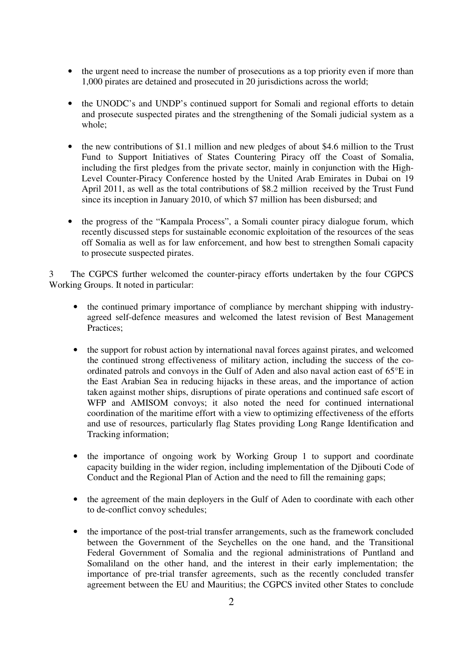- the urgent need to increase the number of prosecutions as a top priority even if more than 1,000 pirates are detained and prosecuted in 20 jurisdictions across the world;
- the UNODC's and UNDP's continued support for Somali and regional efforts to detain and prosecute suspected pirates and the strengthening of the Somali judicial system as a whole;
- the new contributions of \$1.1 million and new pledges of about \$4.6 million to the Trust Fund to Support Initiatives of States Countering Piracy off the Coast of Somalia, including the first pledges from the private sector, mainly in conjunction with the High-Level Counter-Piracy Conference hosted by the United Arab Emirates in Dubai on 19 April 2011, as well as the total contributions of \$8.2 million received by the Trust Fund since its inception in January 2010, of which \$7 million has been disbursed; and
- the progress of the "Kampala Process", a Somali counter piracy dialogue forum, which recently discussed steps for sustainable economic exploitation of the resources of the seas off Somalia as well as for law enforcement, and how best to strengthen Somali capacity to prosecute suspected pirates.

3 The CGPCS further welcomed the counter-piracy efforts undertaken by the four CGPCS Working Groups. It noted in particular:

- the continued primary importance of compliance by merchant shipping with industryagreed self-defence measures and welcomed the latest revision of Best Management Practices;
- the support for robust action by international naval forces against pirates, and welcomed the continued strong effectiveness of military action, including the success of the coordinated patrols and convoys in the Gulf of Aden and also naval action east of 65°E in the East Arabian Sea in reducing hijacks in these areas, and the importance of action taken against mother ships, disruptions of pirate operations and continued safe escort of WFP and AMISOM convoys; it also noted the need for continued international coordination of the maritime effort with a view to optimizing effectiveness of the efforts and use of resources, particularly flag States providing Long Range Identification and Tracking information;
- the importance of ongoing work by Working Group 1 to support and coordinate capacity building in the wider region, including implementation of the Djibouti Code of Conduct and the Regional Plan of Action and the need to fill the remaining gaps;
- the agreement of the main deployers in the Gulf of Aden to coordinate with each other to de-conflict convoy schedules;
- the importance of the post-trial transfer arrangements, such as the framework concluded between the Government of the Seychelles on the one hand, and the Transitional Federal Government of Somalia and the regional administrations of Puntland and Somaliland on the other hand, and the interest in their early implementation; the importance of pre-trial transfer agreements, such as the recently concluded transfer agreement between the EU and Mauritius; the CGPCS invited other States to conclude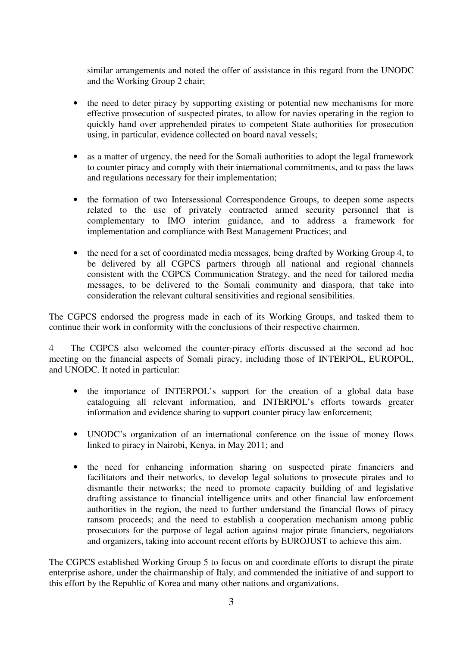similar arrangements and noted the offer of assistance in this regard from the UNODC and the Working Group 2 chair;

- the need to deter piracy by supporting existing or potential new mechanisms for more effective prosecution of suspected pirates, to allow for navies operating in the region to quickly hand over apprehended pirates to competent State authorities for prosecution using, in particular, evidence collected on board naval vessels;
- as a matter of urgency, the need for the Somali authorities to adopt the legal framework to counter piracy and comply with their international commitments, and to pass the laws and regulations necessary for their implementation;
- the formation of two Intersessional Correspondence Groups, to deepen some aspects related to the use of privately contracted armed security personnel that is complementary to IMO interim guidance, and to address a framework for implementation and compliance with Best Management Practices; and
- the need for a set of coordinated media messages, being drafted by Working Group 4, to be delivered by all CGPCS partners through all national and regional channels consistent with the CGPCS Communication Strategy, and the need for tailored media messages, to be delivered to the Somali community and diaspora, that take into consideration the relevant cultural sensitivities and regional sensibilities.

The CGPCS endorsed the progress made in each of its Working Groups, and tasked them to continue their work in conformity with the conclusions of their respective chairmen.

4 The CGPCS also welcomed the counter-piracy efforts discussed at the second ad hoc meeting on the financial aspects of Somali piracy, including those of INTERPOL, EUROPOL, and UNODC. It noted in particular:

- the importance of INTERPOL's support for the creation of a global data base cataloguing all relevant information, and INTERPOL's efforts towards greater information and evidence sharing to support counter piracy law enforcement;
- UNODC's organization of an international conference on the issue of money flows linked to piracy in Nairobi, Kenya, in May 2011; and
- the need for enhancing information sharing on suspected pirate financiers and facilitators and their networks, to develop legal solutions to prosecute pirates and to dismantle their networks; the need to promote capacity building of and legislative drafting assistance to financial intelligence units and other financial law enforcement authorities in the region, the need to further understand the financial flows of piracy ransom proceeds; and the need to establish a cooperation mechanism among public prosecutors for the purpose of legal action against major pirate financiers, negotiators and organizers, taking into account recent efforts by EUROJUST to achieve this aim.

The CGPCS established Working Group 5 to focus on and coordinate efforts to disrupt the pirate enterprise ashore, under the chairmanship of Italy, and commended the initiative of and support to this effort by the Republic of Korea and many other nations and organizations.